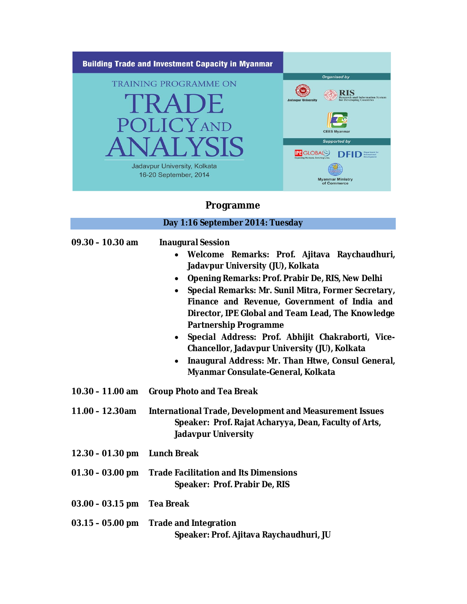

**Programme**

|                    | Day 1:16 September 2014: Tuesday                                                                                                                                                                                                                                                                                                                                                                                                                                                                                                                                                                                   |
|--------------------|--------------------------------------------------------------------------------------------------------------------------------------------------------------------------------------------------------------------------------------------------------------------------------------------------------------------------------------------------------------------------------------------------------------------------------------------------------------------------------------------------------------------------------------------------------------------------------------------------------------------|
| $09.30 - 10.30$ am | <b>Inaugural Session</b><br>Welcome Remarks: Prof. Ajitava Raychaudhuri,<br>Jadavpur University (JU), Kolkata<br>Opening Remarks: Prof. Prabir De, RIS, New Delhi<br>$\bullet$<br>Special Remarks: Mr. Sunil Mitra, Former Secretary,<br>$\bullet$<br>Finance and Revenue, Government of India and<br>Director, IPE Global and Team Lead, The Knowledge<br><b>Partnership Programme</b><br>Special Address: Prof. Abhijit Chakraborti, Vice-<br>$\bullet$<br>Chancellor, Jadavpur University (JU), Kolkata<br>Inaugural Address: Mr. Than Htwe, Consul General,<br>$\bullet$<br>Myanmar Consulate-General, Kolkata |
| $10.30 - 11.00$ am | <b>Group Photo and Tea Break</b>                                                                                                                                                                                                                                                                                                                                                                                                                                                                                                                                                                                   |
| $11.00 - 12.30$ am | <b>International Trade, Development and Measurement Issues</b><br>Speaker: Prof. Rajat Acharyya, Dean, Faculty of Arts,<br><b>Jadavpur University</b>                                                                                                                                                                                                                                                                                                                                                                                                                                                              |
| $12.30 - 01.30$ pm | <b>Lunch Break</b>                                                                                                                                                                                                                                                                                                                                                                                                                                                                                                                                                                                                 |
| $01.30 - 03.00$ pm | <b>Trade Facilitation and Its Dimensions</b><br>Speaker: Prof. Prabir De, RIS                                                                                                                                                                                                                                                                                                                                                                                                                                                                                                                                      |
| $03.00 - 03.15$ pm | <b>Tea Break</b>                                                                                                                                                                                                                                                                                                                                                                                                                                                                                                                                                                                                   |
| $03.15 - 05.00$ pm | <b>Trade and Integration</b><br>Speaker: Prof. Ajitava Raychaudhuri, JU                                                                                                                                                                                                                                                                                                                                                                                                                                                                                                                                            |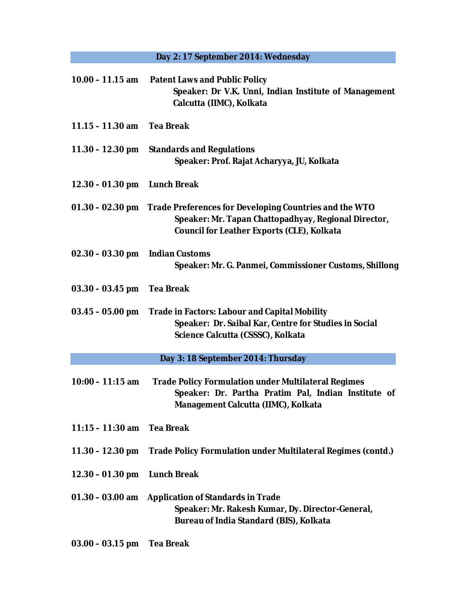## **Day 2: 17 September 2014: Wednesday**

| $10.00 - 11.15$ am         | <b>Patent Laws and Public Policy</b><br>Speaker: Dr V.K. Unni, Indian Institute of Management<br>Calcutta (IIMC), Kolkata                                                              |
|----------------------------|----------------------------------------------------------------------------------------------------------------------------------------------------------------------------------------|
| $11.15 - 11.30$ am         | <b>Tea Break</b>                                                                                                                                                                       |
| $11.30 - 12.30$ pm         | <b>Standards and Regulations</b><br>Speaker: Prof. Rajat Acharyya, JU, Kolkata                                                                                                         |
| $12.30 - 01.30$ pm         | <b>Lunch Break</b>                                                                                                                                                                     |
|                            | 01.30 – 02.30 pm   Trade Preferences for Developing Countries and the WTO<br>Speaker: Mr. Tapan Chattopadhyay, Regional Director,<br><b>Council for Leather Exports (CLE), Kolkata</b> |
| $02.30 - 03.30$ pm         | <b>Indian Customs</b><br>Speaker: Mr. G. Panmei, Commissioner Customs, Shillong                                                                                                        |
| $03.30 - 03.45$ pm         | <b>Tea Break</b>                                                                                                                                                                       |
| $03.45 - 05.00$ pm         | <b>Trade in Factors: Labour and Capital Mobility</b><br>Speaker: Dr. Saibal Kar, Centre for Studies in Social<br>Science Calcutta (CSSSC), Kolkata                                     |
|                            | Day 3: 18 September 2014: Thursday                                                                                                                                                     |
| $10:00 - 11:15$ am         | <b>Trade Policy Formulation under Multilateral Regimes</b><br>Speaker: Dr. Partha Pratim Pal, Indian Institute of<br>Management Calcutta (IIMC), Kolkata                               |
| 11:15 - 11:30 am Tea Break |                                                                                                                                                                                        |
| $11.30 - 12.30$ pm         | Trade Policy Formulation under Multilateral Regimes (contd.)                                                                                                                           |
| 12.30 - 01.30 pm           | <b>Lunch Break</b>                                                                                                                                                                     |
| $01.30 - 03.00$ am         | <b>Application of Standards in Trade</b><br>Speaker: Mr. Rakesh Kumar, Dy. Director-General,<br>Bureau of India Standard (BIS), Kolkata                                                |
| $03.00 - 03.15$ pm         | <b>Tea Break</b>                                                                                                                                                                       |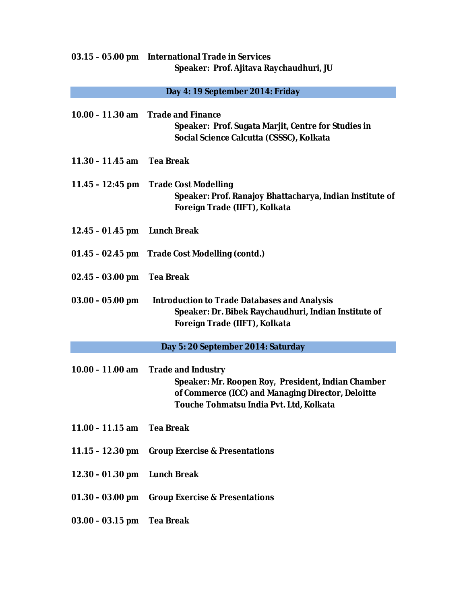## **03.15 – 05.00 pm International Trade in Services Speaker: Prof. Ajitava Raychaudhuri, JU**

## **Day 4: 19 September 2014: Friday**

|                                    | 10.00 - 11.30 am Trade and Finance<br>Speaker: Prof. Sugata Marjit, Centre for Studies in<br>Social Science Calcutta (CSSSC), Kolkata                                           |  |
|------------------------------------|---------------------------------------------------------------------------------------------------------------------------------------------------------------------------------|--|
| 11.30 - 11.45 am Tea Break         |                                                                                                                                                                                 |  |
| 11.45 – 12:45 pm                   | <b>Trade Cost Modelling</b><br>Speaker: Prof. Ranajoy Bhattacharya, Indian Institute of<br>Foreign Trade (IIFT), Kolkata                                                        |  |
| 12.45 - 01.45 pm Lunch Break       |                                                                                                                                                                                 |  |
|                                    | 01.45 - 02.45 pm Trade Cost Modelling (contd.)                                                                                                                                  |  |
| $02.45 - 03.00$ pm                 | <b>Tea Break</b>                                                                                                                                                                |  |
| $03.00 - 05.00$ pm                 | <b>Introduction to Trade Databases and Analysis</b><br>Speaker: Dr. Bibek Raychaudhuri, Indian Institute of<br>Foreign Trade (IIFT), Kolkata                                    |  |
| Day 5: 20 September 2014: Saturday |                                                                                                                                                                                 |  |
| $10.00 - 11.00$ am                 | <b>Trade and Industry</b><br>Speaker: Mr. Roopen Roy, President, Indian Chamber<br>of Commerce (ICC) and Managing Director, Deloitte<br>Touche Tohmatsu India Pvt. Ltd, Kolkata |  |
| 11.00 - 11.15 am Tea Break         |                                                                                                                                                                                 |  |
| $11.15 - 12.30$ pm                 | <b>Group Exercise &amp; Presentations</b>                                                                                                                                       |  |
| $12.30 - 01.30$ pm                 | <b>Lunch Break</b>                                                                                                                                                              |  |
| $01.30 - 03.00$ pm                 | <b>Group Exercise &amp; Presentations</b>                                                                                                                                       |  |
| $03.00 - 03.15$ pm                 | <b>Tea Break</b>                                                                                                                                                                |  |